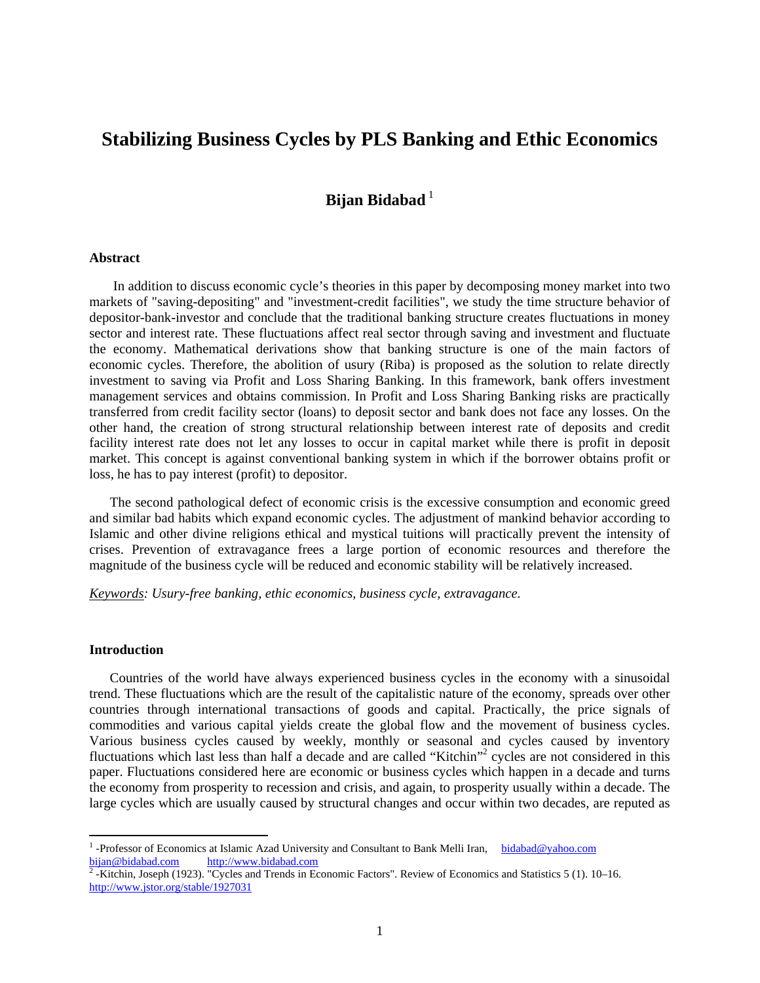# **Stabilizing Business Cycles by PLS Banking and Ethic Economics**

## **Bijan Bidabad**<sup>1</sup>

#### **Abstract**

In addition to discuss economic cycle's theories in this paper by decomposing money market into two markets of "saving-depositing" and "investment-credit facilities", we study the time structure behavior of depositor-bank-investor and conclude that the traditional banking structure creates fluctuations in money sector and interest rate. These fluctuations affect real sector through saving and investment and fluctuate the economy. Mathematical derivations show that banking structure is one of the main factors of economic cycles. Therefore, the abolition of usury (Riba) is proposed as the solution to relate directly investment to saving via Profit and Loss Sharing Banking. In this framework, bank offers investment management services and obtains commission. In Profit and Loss Sharing Banking risks are practically transferred from credit facility sector (loans) to deposit sector and bank does not face any losses. On the other hand, the creation of strong structural relationship between interest rate of deposits and credit facility interest rate does not let any losses to occur in capital market while there is profit in deposit market. This concept is against conventional banking system in which if the borrower obtains profit or loss, he has to pay interest (profit) to depositor.

 The second pathological defect of economic crisis is the excessive consumption and economic greed and similar bad habits which expand economic cycles. The adjustment of mankind behavior according to Islamic and other divine religions ethical and mystical tuitions will practically prevent the intensity of crises. Prevention of extravagance frees a large portion of economic resources and therefore the magnitude of the business cycle will be reduced and economic stability will be relatively increased.

*Keywords: Usury-free banking, ethic economics, business cycle, extravagance.* 

## **Introduction**

Countries of the world have always experienced business cycles in the economy with a sinusoidal trend. These fluctuations which are the result of the capitalistic nature of the economy, spreads over other countries through international transactions of goods and capital. Practically, the price signals of commodities and various capital yields create the global flow and the movement of business cycles. Various business cycles caused by weekly, monthly or seasonal and cycles caused by inventory fluctuations which last less than half a decade and are called "Kitchin"<sup>2</sup> cycles are not considered in this paper. Fluctuations considered here are economic or business cycles which happen in a decade and turns the economy from prosperity to recession and crisis, and again, to prosperity usually within a decade. The large cycles which are usually caused by structural changes and occur within two decades, are reputed as

<sup>&</sup>lt;sup>1</sup>-Professor of Economics at Islamic Azad University and Consultant to Bank Melli Iran, bidabad@yahoo.com bijan@bidabad.com<br> $\frac{\text{http://www.bidabad.com}}{2 \text{ Vitchin Joseph (1023)}}$ 

 <sup>-</sup>Kitchin, Joseph (1923). "Cycles and Trends in Economic Factors". Review of Economics and Statistics 5 (1). 10–16. http://www.jstor.org/stable/1927031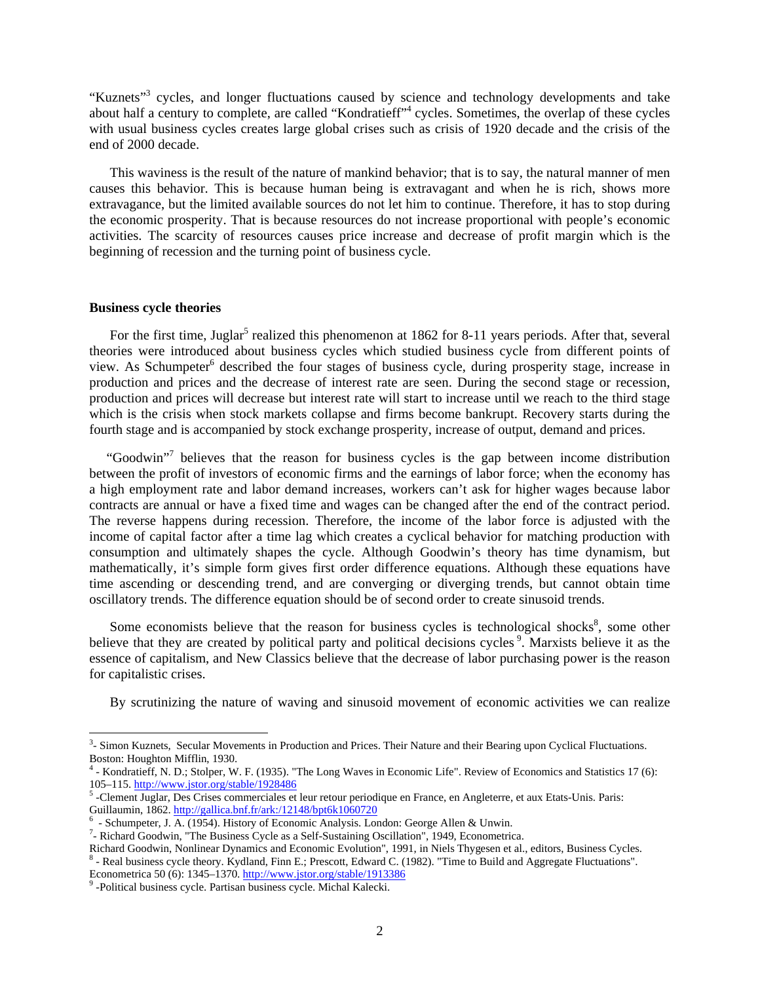"Kuznets"<sup>3</sup> cycles, and longer fluctuations caused by science and technology developments and take about half a century to complete, are called "Kondratieff"<sup>4</sup> cycles. Sometimes, the overlap of these cycles with usual business cycles creates large global crises such as crisis of 1920 decade and the crisis of the end of 2000 decade.

 This waviness is the result of the nature of mankind behavior; that is to say, the natural manner of men causes this behavior. This is because human being is extravagant and when he is rich, shows more extravagance, but the limited available sources do not let him to continue. Therefore, it has to stop during the economic prosperity. That is because resources do not increase proportional with people's economic activities. The scarcity of resources causes price increase and decrease of profit margin which is the beginning of recession and the turning point of business cycle.

## **Business cycle theories**

For the first time, Juglar<sup>5</sup> realized this phenomenon at 1862 for 8-11 years periods. After that, several theories were introduced about business cycles which studied business cycle from different points of view. As Schumpeter<sup>6</sup> described the four stages of business cycle, during prosperity stage, increase in production and prices and the decrease of interest rate are seen. During the second stage or recession, production and prices will decrease but interest rate will start to increase until we reach to the third stage which is the crisis when stock markets collapse and firms become bankrupt. Recovery starts during the fourth stage and is accompanied by stock exchange prosperity, increase of output, demand and prices.

"Goodwin"<sup>7</sup> believes that the reason for business cycles is the gap between income distribution between the profit of investors of economic firms and the earnings of labor force; when the economy has a high employment rate and labor demand increases, workers can't ask for higher wages because labor contracts are annual or have a fixed time and wages can be changed after the end of the contract period. The reverse happens during recession. Therefore, the income of the labor force is adjusted with the income of capital factor after a time lag which creates a cyclical behavior for matching production with consumption and ultimately shapes the cycle. Although Goodwin's theory has time dynamism, but mathematically, it's simple form gives first order difference equations. Although these equations have time ascending or descending trend, and are converging or diverging trends, but cannot obtain time oscillatory trends. The difference equation should be of second order to create sinusoid trends.

Some economists believe that the reason for business cycles is technological shocks $\delta$ , some other believe that they are created by political party and political decisions cycles <sup>9</sup>. Marxists believe it as the essence of capitalism, and New Classics believe that the decrease of labor purchasing power is the reason for capitalistic crises.

By scrutinizing the nature of waving and sinusoid movement of economic activities we can realize

<sup>&</sup>lt;sup>3</sup>- Simon Kuznets, Secular Movements in Production and Prices. Their Nature and their Bearing upon Cyclical Fluctuations. Boston: Houghton Mifflin, 1930.

<sup>4</sup> - Kondratieff, N. D.; Stolper, W. F. (1935). "The Long Waves in Economic Life". Review of Economics and Statistics 17 (6): 105–115. http://www.jstor.org/stable/1928486 <sup>5</sup>

 <sup>-</sup>Clement Juglar, Des Crises commerciales et leur retour periodique en France, en Angleterre, et aux Etats-Unis. Paris: Guillaumin, 1862. http://gallica.bnf.fr/ark:/12148/bpt6k1060720<br><sup>6</sup> - Schumpeter, J. A. (1954). History of Economic Analysis. London: George Allen & Unwin.

 $7$ - Richard Goodwin, "The Business Cycle as a Self-Sustaining Oscillation", 1949, Econometrica.

Richard Goodwin, Nonlinear Dynamics and Economic Evolution", 1991, in Niels Thygesen et al., editors, Business Cycles. 8 <sup>8</sup> - Real business cycle theory. Kydland, Finn E.; Prescott, Edward C. (1982). "Time to Build and Aggregate Fluctuations". Econometrica 50 (6): 1345–1370. http://www.jstor.org/stable/1913386 <sup>9</sup>

<sup>&</sup>lt;sup>9</sup>-Political business cycle. Partisan business cycle. Michal Kalecki.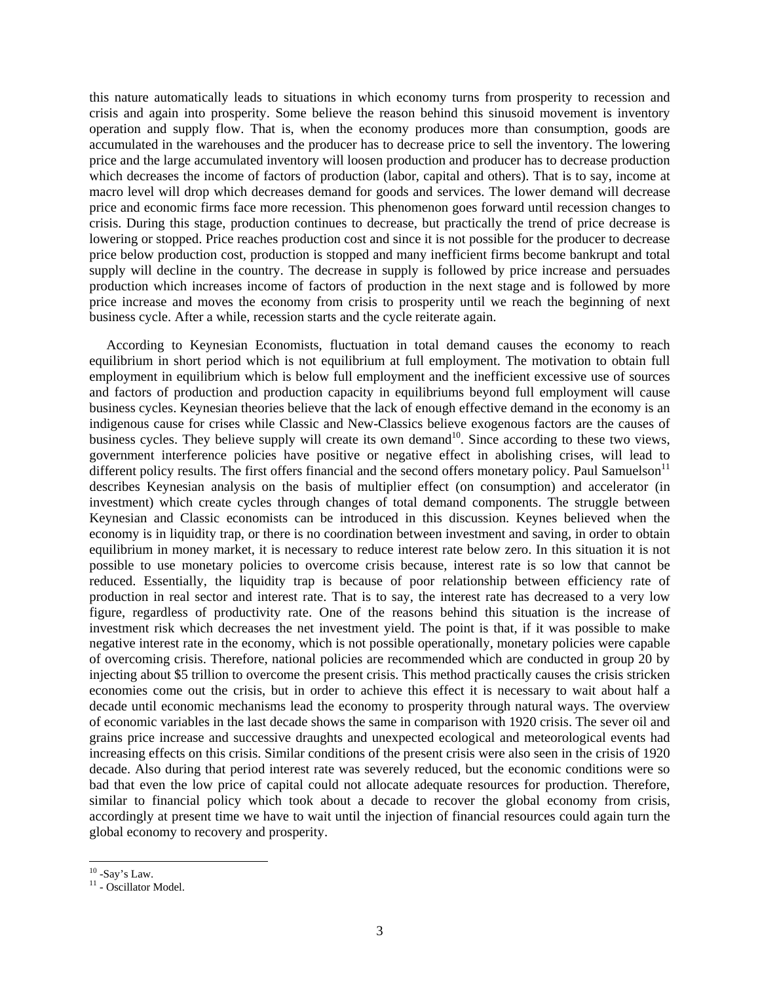this nature automatically leads to situations in which economy turns from prosperity to recession and crisis and again into prosperity. Some believe the reason behind this sinusoid movement is inventory operation and supply flow. That is, when the economy produces more than consumption, goods are accumulated in the warehouses and the producer has to decrease price to sell the inventory. The lowering price and the large accumulated inventory will loosen production and producer has to decrease production which decreases the income of factors of production (labor, capital and others). That is to say, income at macro level will drop which decreases demand for goods and services. The lower demand will decrease price and economic firms face more recession. This phenomenon goes forward until recession changes to crisis. During this stage, production continues to decrease, but practically the trend of price decrease is lowering or stopped. Price reaches production cost and since it is not possible for the producer to decrease price below production cost, production is stopped and many inefficient firms become bankrupt and total supply will decline in the country. The decrease in supply is followed by price increase and persuades production which increases income of factors of production in the next stage and is followed by more price increase and moves the economy from crisis to prosperity until we reach the beginning of next business cycle. After a while, recession starts and the cycle reiterate again.

 According to Keynesian Economists, fluctuation in total demand causes the economy to reach equilibrium in short period which is not equilibrium at full employment. The motivation to obtain full employment in equilibrium which is below full employment and the inefficient excessive use of sources and factors of production and production capacity in equilibriums beyond full employment will cause business cycles. Keynesian theories believe that the lack of enough effective demand in the economy is an indigenous cause for crises while Classic and New-Classics believe exogenous factors are the causes of business cycles. They believe supply will create its own demand<sup>10</sup>. Since according to these two views, government interference policies have positive or negative effect in abolishing crises, will lead to different policy results. The first offers financial and the second offers monetary policy. Paul Samuelson $<sup>11</sup>$ </sup> describes Keynesian analysis on the basis of multiplier effect (on consumption) and accelerator (in investment) which create cycles through changes of total demand components. The struggle between Keynesian and Classic economists can be introduced in this discussion. Keynes believed when the economy is in liquidity trap, or there is no coordination between investment and saving, in order to obtain equilibrium in money market, it is necessary to reduce interest rate below zero. In this situation it is not possible to use monetary policies to overcome crisis because, interest rate is so low that cannot be reduced. Essentially, the liquidity trap is because of poor relationship between efficiency rate of production in real sector and interest rate. That is to say, the interest rate has decreased to a very low figure, regardless of productivity rate. One of the reasons behind this situation is the increase of investment risk which decreases the net investment yield. The point is that, if it was possible to make negative interest rate in the economy, which is not possible operationally, monetary policies were capable of overcoming crisis. Therefore, national policies are recommended which are conducted in group 20 by injecting about \$5 trillion to overcome the present crisis. This method practically causes the crisis stricken economies come out the crisis, but in order to achieve this effect it is necessary to wait about half a decade until economic mechanisms lead the economy to prosperity through natural ways. The overview of economic variables in the last decade shows the same in comparison with 1920 crisis. The sever oil and grains price increase and successive draughts and unexpected ecological and meteorological events had increasing effects on this crisis. Similar conditions of the present crisis were also seen in the crisis of 1920 decade. Also during that period interest rate was severely reduced, but the economic conditions were so bad that even the low price of capital could not allocate adequate resources for production. Therefore, similar to financial policy which took about a decade to recover the global economy from crisis, accordingly at present time we have to wait until the injection of financial resources could again turn the global economy to recovery and prosperity.

 $10$  -Say's Law.

<sup>&</sup>lt;sup>11</sup> - Oscillator Model.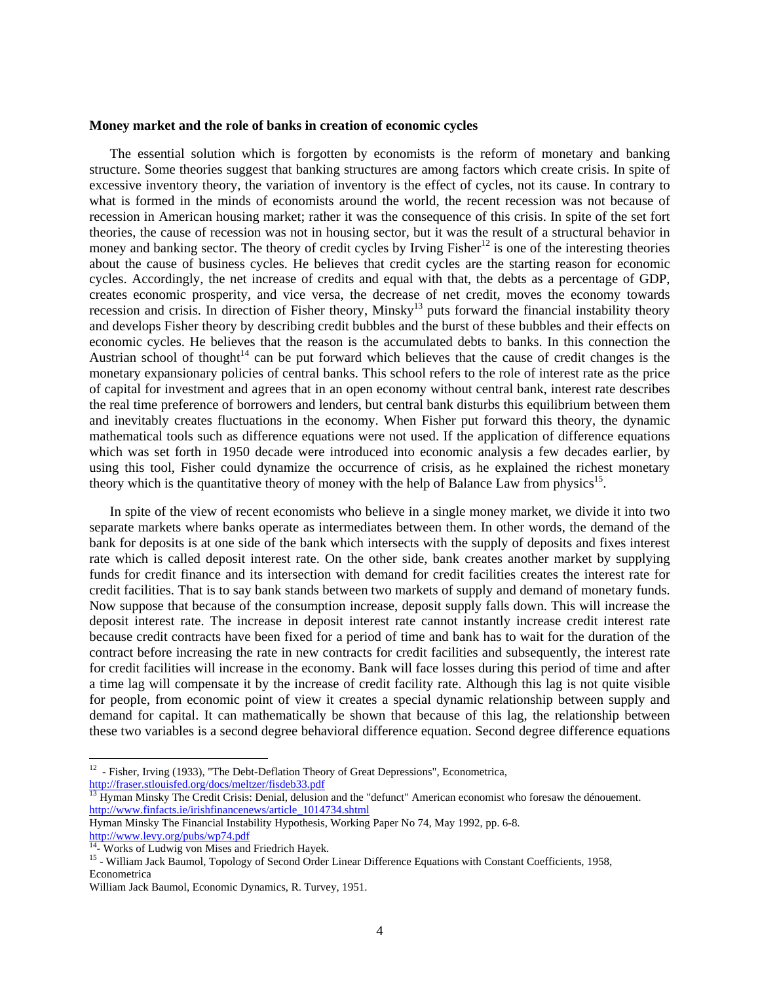#### **Money market and the role of banks in creation of economic cycles**

 The essential solution which is forgotten by economists is the reform of monetary and banking structure. Some theories suggest that banking structures are among factors which create crisis. In spite of excessive inventory theory, the variation of inventory is the effect of cycles, not its cause. In contrary to what is formed in the minds of economists around the world, the recent recession was not because of recession in American housing market; rather it was the consequence of this crisis. In spite of the set fort theories, the cause of recession was not in housing sector, but it was the result of a structural behavior in money and banking sector. The theory of credit cycles by Irving  $Fisher^{12}$  is one of the interesting theories about the cause of business cycles. He believes that credit cycles are the starting reason for economic cycles. Accordingly, the net increase of credits and equal with that, the debts as a percentage of GDP, creates economic prosperity, and vice versa, the decrease of net credit, moves the economy towards recession and crisis. In direction of Fisher theory, Minsky<sup>13</sup> puts forward the financial instability theory and develops Fisher theory by describing credit bubbles and the burst of these bubbles and their effects on economic cycles. He believes that the reason is the accumulated debts to banks. In this connection the Austrian school of thought<sup>14</sup> can be put forward which believes that the cause of credit changes is the monetary expansionary policies of central banks. This school refers to the role of interest rate as the price of capital for investment and agrees that in an open economy without central bank, interest rate describes the real time preference of borrowers and lenders, but central bank disturbs this equilibrium between them and inevitably creates fluctuations in the economy. When Fisher put forward this theory, the dynamic mathematical tools such as difference equations were not used. If the application of difference equations which was set forth in 1950 decade were introduced into economic analysis a few decades earlier, by using this tool, Fisher could dynamize the occurrence of crisis, as he explained the richest monetary theory which is the quantitative theory of money with the help of Balance Law from physics<sup>15</sup>.

 In spite of the view of recent economists who believe in a single money market, we divide it into two separate markets where banks operate as intermediates between them. In other words, the demand of the bank for deposits is at one side of the bank which intersects with the supply of deposits and fixes interest rate which is called deposit interest rate. On the other side, bank creates another market by supplying funds for credit finance and its intersection with demand for credit facilities creates the interest rate for credit facilities. That is to say bank stands between two markets of supply and demand of monetary funds. Now suppose that because of the consumption increase, deposit supply falls down. This will increase the deposit interest rate. The increase in deposit interest rate cannot instantly increase credit interest rate because credit contracts have been fixed for a period of time and bank has to wait for the duration of the contract before increasing the rate in new contracts for credit facilities and subsequently, the interest rate for credit facilities will increase in the economy. Bank will face losses during this period of time and after a time lag will compensate it by the increase of credit facility rate. Although this lag is not quite visible for people, from economic point of view it creates a special dynamic relationship between supply and demand for capital. It can mathematically be shown that because of this lag, the relationship between these two variables is a second degree behavioral difference equation. Second degree difference equations

 $12$  - Fisher, Irving (1933), "The Debt-Deflation Theory of Great Depressions", Econometrica, http://fraser.stlouisfed.org/docs/meltzer/fisdeb33.pdf

<sup>&</sup>lt;sup>13</sup> Hyman Minsky The Credit Crisis: Denial, delusion and the "defunct" American economist who foresaw the dénouement. http://www.finfacts.ie/irishfinancenews/article\_1014734.shtml

Hyman Minsky The Financial Instability Hypothesis, Working Paper No 74, May 1992, pp. 6-8. http://www.levy.org/pubs/wp74.pdf 14- Works of Ludwig von Mises and Friedrich Hayek.

<sup>&</sup>lt;sup>15</sup> - William Jack Baumol, Topology of Second Order Linear Difference Equations with Constant Coefficients, 1958, Econometrica

William Jack Baumol, Economic Dynamics, R. Turvey, 1951.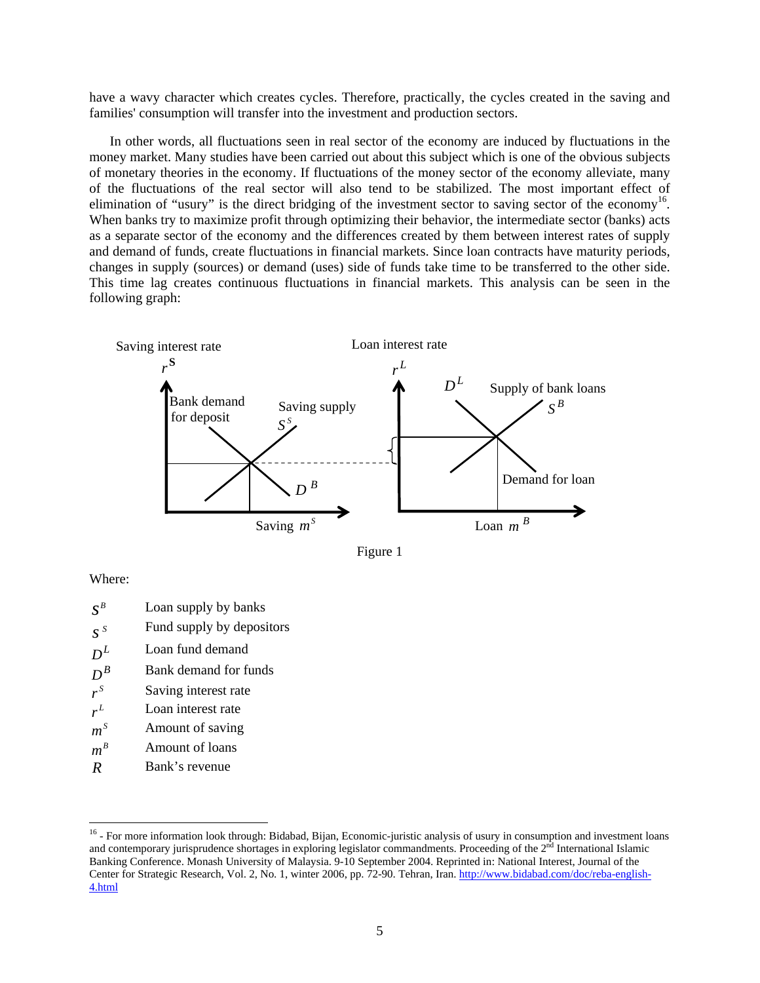have a wavy character which creates cycles. Therefore, practically, the cycles created in the saving and families' consumption will transfer into the investment and production sectors.

 In other words, all fluctuations seen in real sector of the economy are induced by fluctuations in the money market. Many studies have been carried out about this subject which is one of the obvious subjects of monetary theories in the economy. If fluctuations of the money sector of the economy alleviate, many of the fluctuations of the real sector will also tend to be stabilized. The most important effect of elimination of "usury" is the direct bridging of the investment sector to saving sector of the economy<sup>16</sup>. When banks try to maximize profit through optimizing their behavior, the intermediate sector (banks) acts as a separate sector of the economy and the differences created by them between interest rates of supply and demand of funds, create fluctuations in financial markets. Since loan contracts have maturity periods, changes in supply (sources) or demand (uses) side of funds take time to be transferred to the other side. This time lag creates continuous fluctuations in financial markets. This analysis can be seen in the following graph:





Where:

- $S^B$  *Loan supply by banks*
- *S*<sup>*s*</sup> Fund supply by depositors
- $D<sup>L</sup>$  Loan fund demand
- $D^B$  Bank demand for funds<br>  $r^S$  Saving interest rate
- **Saving interest rate**
- $r^L$ Loan interest rate
- $m<sup>S</sup>$  Amount of saving
- $m^B$  **Amount of loans**
- *R* Bank's revenue

<sup>&</sup>lt;sup>16</sup> - For more information look through: Bidabad, Bijan, Economic-juristic analysis of usury in consumption and investment loans and contemporary jurisprudence shortages in exploring legislator commandments. Proceeding of the  $2<sup>nd</sup>$  International Islamic Banking Conference. Monash University of Malaysia. 9-10 September 2004. Reprinted in: National Interest, Journal of the Center for Strategic Research, Vol. 2, No. 1, winter 2006, pp. 72-90. Tehran, Iran. http://www.bidabad.com/doc/reba-english-4.html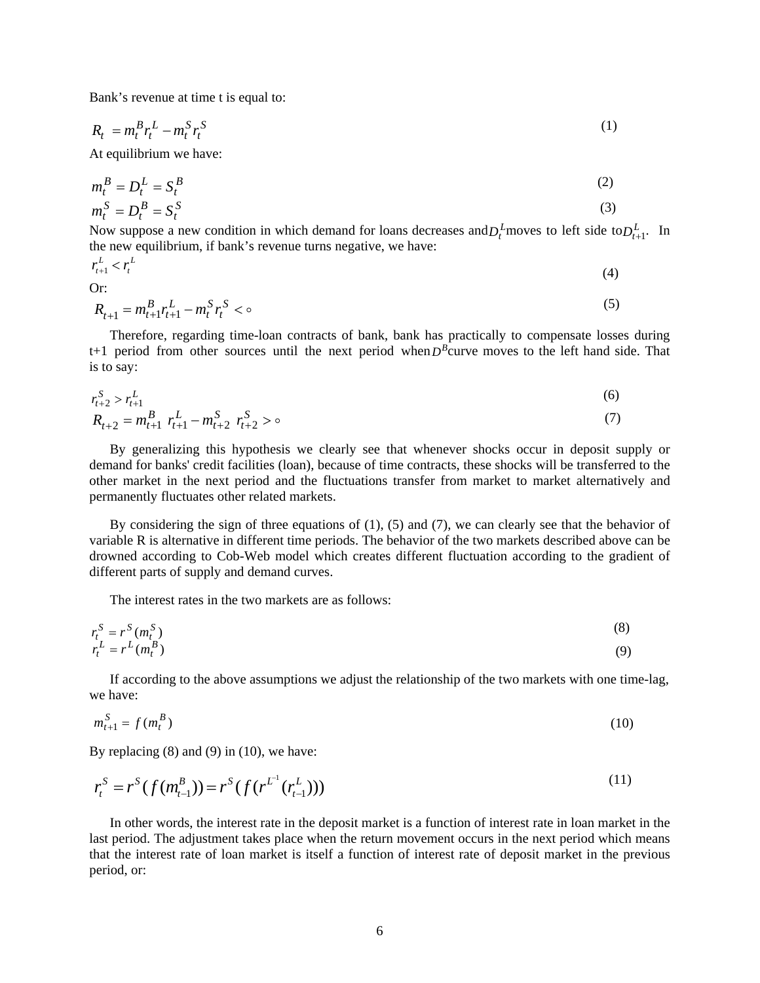Bank's revenue at time t is equal to:

$$
R_t = m_t^B r_t^L - m_t^S r_t^S \tag{1}
$$

At equilibrium we have:

$$
m_t^B = D_t^L = S_t^B
$$
  
\n
$$
m_t^S = D_t^B = S_t^S
$$
\n(2)

Now suppose a new condition in which demand for loans decreases and  $D_t^L$  moves to left side to  $D_{t+1}^L$ . In the new equilibrium, if bank's revenue turns negative, we have:

$$
r_{t+1}^L <
$$

*L t*

 $r_{t+1}^L < r_t^L$  (4)

Or:

$$
R_{t+1} = m_{t+1}^B r_{t+1}^L - m_t^S r_t^S < \infty
$$
\n<sup>(5)</sup>

 Therefore, regarding time-loan contracts of bank, bank has practically to compensate losses during  $t+1$  period from other sources until the next period when  $D<sup>B</sup>$ curve moves to the left hand side. That is to say:

$$
r_{t+2}^S > r_{t+1}^L
$$
\n
$$
r_{t+2}^S > r_{t+1}^L
$$
\n
$$
(6)
$$

$$
R_{t+2} = m_{t+1}^B \ r_{t+1}^L - m_{t+2}^S \ r_{t+2}^S > \circ \tag{7}
$$

 By generalizing this hypothesis we clearly see that whenever shocks occur in deposit supply or demand for banks' credit facilities (loan), because of time contracts, these shocks will be transferred to the other market in the next period and the fluctuations transfer from market to market alternatively and permanently fluctuates other related markets.

By considering the sign of three equations of  $(1)$ ,  $(5)$  and  $(7)$ , we can clearly see that the behavior of variable R is alternative in different time periods. The behavior of the two markets described above can be drowned according to Cob-Web model which creates different fluctuation according to the gradient of different parts of supply and demand curves.

The interest rates in the two markets are as follows:

$$
r_t^S = r^S(m_t^S)
$$
  
\n
$$
r_t^L = r^L(m_t^B)
$$
\n(8)

 If according to the above assumptions we adjust the relationship of the two markets with one time-lag, we have:

$$
m_{t+1}^S = f(m_t^B)
$$
 (10)

By replacing (8) and (9) in (10), we have:

$$
r_t^S = r^S(f(m_{t-1}^B)) = r^S(f(r^{L^1}(r_{t-1}^L)))
$$
\n(11)

 In other words, the interest rate in the deposit market is a function of interest rate in loan market in the last period. The adjustment takes place when the return movement occurs in the next period which means that the interest rate of loan market is itself a function of interest rate of deposit market in the previous period, or: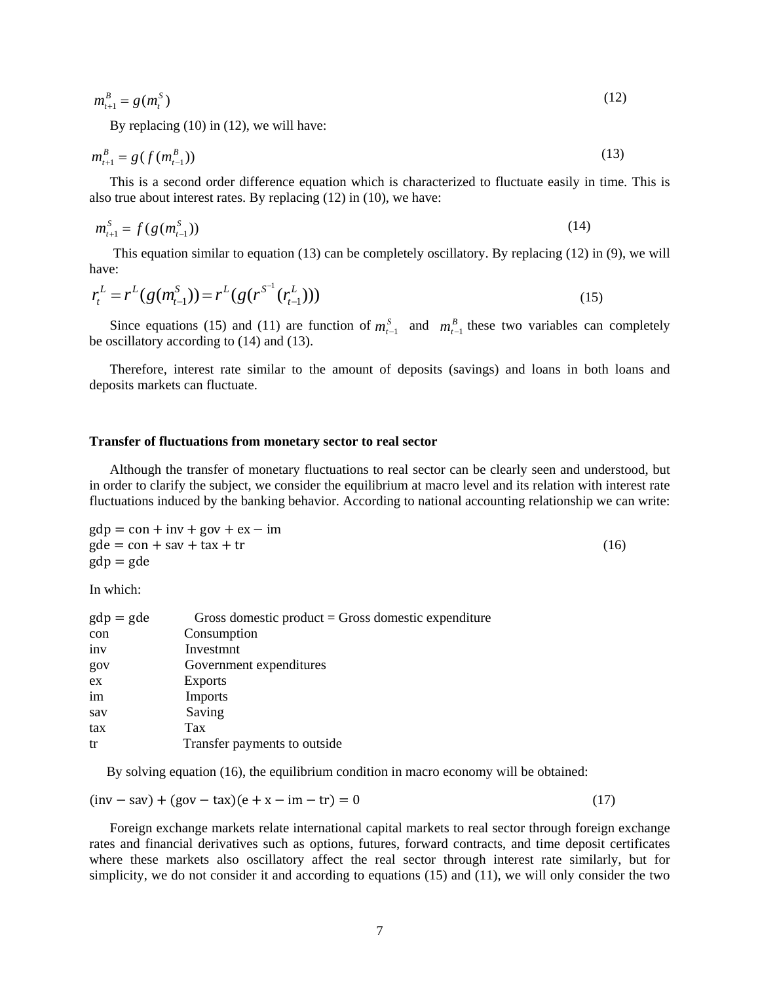$$
m_{t+1}^B = g(m_t^S) \tag{12}
$$

By replacing (10) in (12), we will have:

$$
m_{t+1}^B = g(f(m_{t-1}^B))
$$
\n(13)

 This is a second order difference equation which is characterized to fluctuate easily in time. This is also true about interest rates. By replacing (12) in (10), we have:

$$
m_{t+1}^S = f(g(m_{t-1}^S))
$$
\n(14)

 This equation similar to equation (13) can be completely oscillatory. By replacing (12) in (9), we will have:

$$
r_t^L = r^L(g(m_{t-1}^S)) = r^L(g(r^{S^{-1}}(r_{t-1}^L)))
$$
\n(15)

Since equations (15) and (11) are function of  $m_{t-1}^S$  and  $m_{t-1}^B$  these two variables can completely be oscillatory according to (14) and (13).

 Therefore, interest rate similar to the amount of deposits (savings) and loans in both loans and deposits markets can fluctuate.

#### **Transfer of fluctuations from monetary sector to real sector**

 Although the transfer of monetary fluctuations to real sector can be clearly seen and understood, but in order to clarify the subject, we consider the equilibrium at macro level and its relation with interest rate fluctuations induced by the banking behavior. According to national accounting relationship we can write:

$$
gdp = con + inv + gov + ex - im
$$
  
\n
$$
gde = con + sav + tax + tr
$$
\n
$$
gdp = gde
$$
\n(16)

In which:

| $gdp = gde$ | Gross domestic product $=$ Gross domestic expenditure |
|-------------|-------------------------------------------------------|
| con         | Consumption                                           |
| inv         | Investmnt                                             |
| gov         | Government expenditures                               |
| ex          | <b>Exports</b>                                        |
| im          | Imports                                               |
| sav         | Saving                                                |
| tax         | Tax                                                   |
| tr          | Transfer payments to outside                          |
|             |                                                       |

By solving equation (16), the equilibrium condition in macro economy will be obtained:

 $(\text{inv} - \text{sav}) + (\text{gov} - \text{tax})(e + x - \text{im} - \text{tr}) = 0$  (17)

 Foreign exchange markets relate international capital markets to real sector through foreign exchange rates and financial derivatives such as options, futures, forward contracts, and time deposit certificates where these markets also oscillatory affect the real sector through interest rate similarly, but for simplicity, we do not consider it and according to equations (15) and (11), we will only consider the two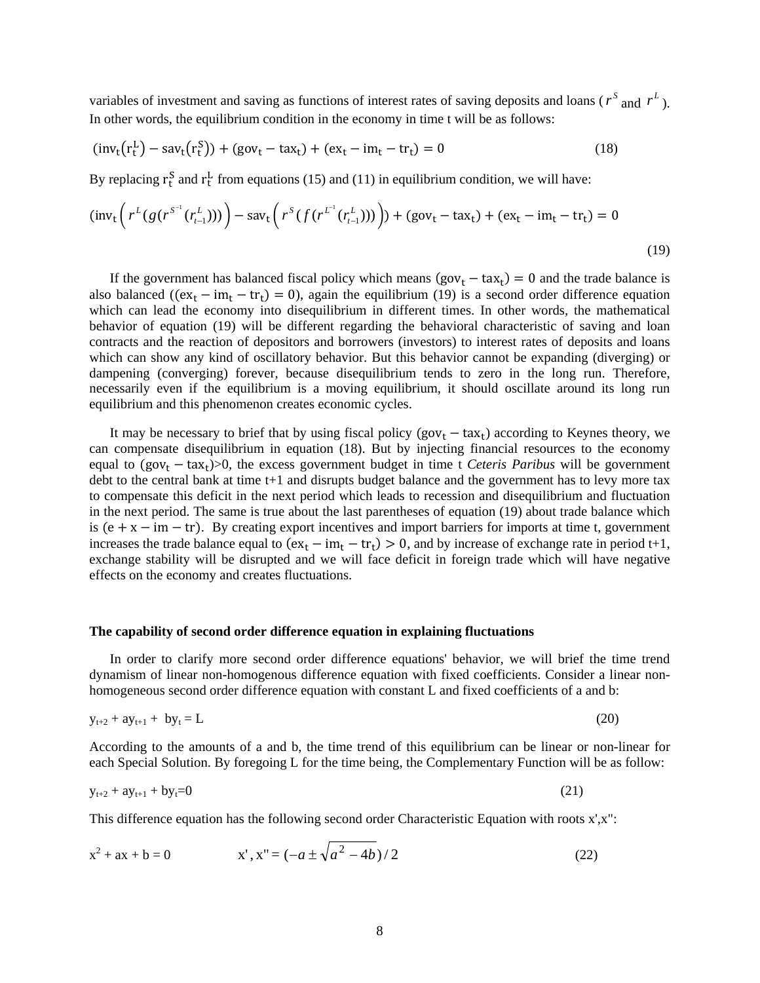variables of investment and saving as functions of interest rates of saving deposits and loans ( $r^s$  and  $r^L$ ). In other words, the equilibrium condition in the economy in time t will be as follows:

$$
(\text{inv}_{t}(r_{t}^{L}) - \text{sav}_{t}(r_{t}^{S})) + (\text{gov}_{t} - \text{tax}_{t}) + (\text{ex}_{t} - \text{im}_{t} - \text{tr}_{t}) = 0
$$
\n(18)

By replacing  $r_t^S$  and  $r_t^L$  from equations (15) and (11) in equilibrium condition, we will have:

$$
(\text{inv}_{t}\left(r^{L}(g(r^{S^{-1}}(r_{t-1}^{L})))\right) - \text{sav}_{t}\left(r^{S}(f(r^{L^{1}}(r_{t-1}^{L})))\right) + (\text{gov}_{t} - \text{tax}_{t}) + (\text{ex}_{t} - \text{im}_{t} - \text{tr}_{t}) = 0
$$
\n(19)

If the government has balanced fiscal policy which means  $(gov_t - tax_t) = 0$  and the trade balance is also balanced ( $(ex_t - im_t - tr_t) = 0$ ), again the equilibrium (19) is a second order difference equation which can lead the economy into disequilibrium in different times. In other words, the mathematical behavior of equation (19) will be different regarding the behavioral characteristic of saving and loan contracts and the reaction of depositors and borrowers (investors) to interest rates of deposits and loans which can show any kind of oscillatory behavior. But this behavior cannot be expanding (diverging) or dampening (converging) forever, because disequilibrium tends to zero in the long run. Therefore, necessarily even if the equilibrium is a moving equilibrium, it should oscillate around its long run equilibrium and this phenomenon creates economic cycles.

It may be necessary to brief that by using fiscal policy  $(gov_t - tax_t)$  according to Keynes theory, we can compensate disequilibrium in equation (18). But by injecting financial resources to the economy equal to  $(gov_t - tax_t) > 0$ , the excess government budget in time t *Ceteris Paribus* will be government debt to the central bank at time t+1 and disrupts budget balance and the government has to levy more tax to compensate this deficit in the next period which leads to recession and disequilibrium and fluctuation in the next period. The same is true about the last parentheses of equation (19) about trade balance which is  $(e + x - im - tr)$ . By creating export incentives and import barriers for imports at time t, government increases the trade balance equal to  $(ex_t - im_t - tr_t) > 0$ , and by increase of exchange rate in period t+1, exchange stability will be disrupted and we will face deficit in foreign trade which will have negative effects on the economy and creates fluctuations.

### **The capability of second order difference equation in explaining fluctuations**

 In order to clarify more second order difference equations' behavior, we will brief the time trend dynamism of linear non-homogenous difference equation with fixed coefficients. Consider a linear nonhomogeneous second order difference equation with constant L and fixed coefficients of a and b:

$$
y_{t+2} + ay_{t+1} + by_t = L \tag{20}
$$

According to the amounts of a and b, the time trend of this equilibrium can be linear or non-linear for each Special Solution. By foregoing L for the time being, the Complementary Function will be as follow:

$$
y_{t+2} + ay_{t+1} + by_t = 0 \tag{21}
$$

This difference equation has the following second order Characteristic Equation with roots x',x":

$$
x^{2} + ax + b = 0
$$
 x',  $x'' = (-a \pm \sqrt{a^{2} - 4b})/2$  (22)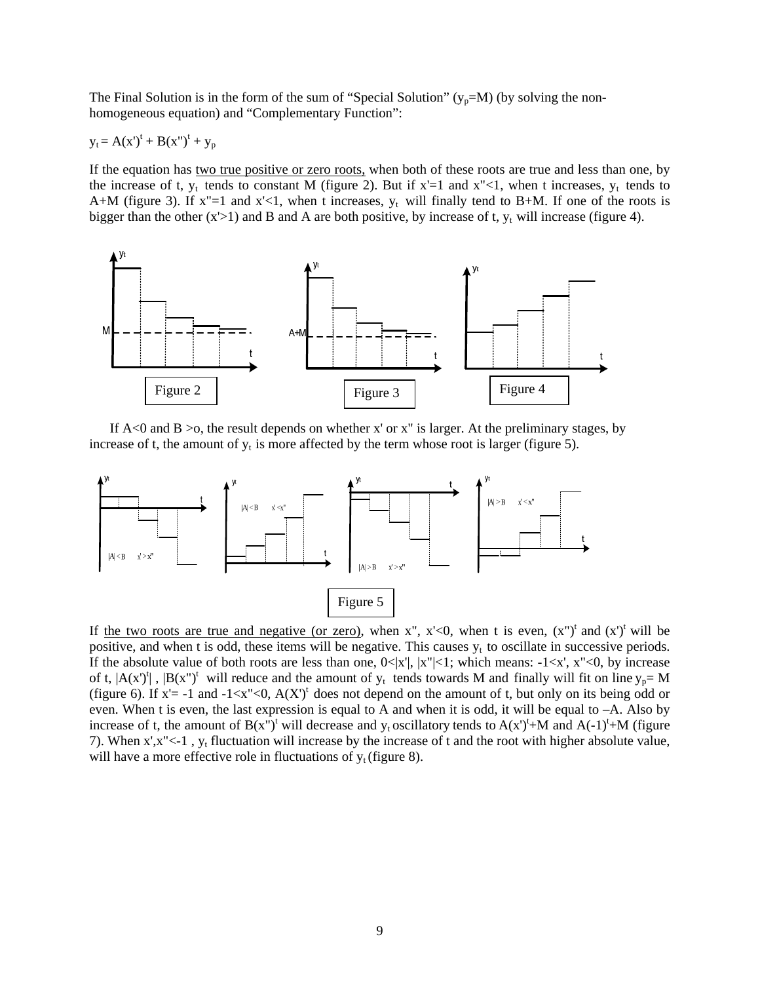The Final Solution is in the form of the sum of "Special Solution" ( $y_p=M$ ) (by solving the nonhomogeneous equation) and "Complementary Function":

$$
y_t = A(x')^t + B(x'')^t + y_p
$$

If the equation has two true positive or zero roots, when both of these roots are true and less than one, by the increase of t,  $y_t$  tends to constant M (figure 2). But if  $x'=1$  and  $x''<1$ , when t increases,  $y_t$  tends to A+M (figure 3). If  $x''=1$  and  $x' < 1$ , when t increases,  $y_t$  will finally tend to B+M. If one of the roots is bigger than the other  $(x>1)$  and B and A are both positive, by increase of t,  $y_t$  will increase (figure 4).



If  $A \triangleleft 0$  and  $B > 0$ , the result depends on whether x' or x" is larger. At the preliminary stages, by increase of t, the amount of  $y_t$  is more affected by the term whose root is larger (figure 5).



If the two roots are true and negative (or zero), when x", x'<0, when t is even,  $(x<sup>n</sup>)<sup>t</sup>$  and  $(x)<sup>t</sup>$  will be positive, and when t is odd, these items will be negative. This causes  $y_t$  to oscillate in successive periods. If the absolute value of both roots are less than one,  $0 \le |x'|$ ,  $|x''| \le 1$ ; which means:  $-1 \le x'$ ,  $x'' \le 0$ , by increase of t,  $|A(x')^t|$ ,  $|B(x'')^t$  will reduce and the amount of  $y_t$  tends towards M and finally will fit on line  $y_p = M$ (figure 6). If  $x' = -1$  and  $-1 \lt x'' \lt 0$ ,  $A(X')^t$  does not depend on the amount of t, but only on its being odd or even. When t is even, the last expression is equal to A and when it is odd, it will be equal to –A. Also by increase of t, the amount of  $B(x'')^t$  will decrease and  $y_t$  oscillatory tends to  $A(x')^t$ +M and  $A(-1)^t$ +M (figure 7). When  $x$ ', $x$ "<-1,  $y_t$  fluctuation will increase by the increase of t and the root with higher absolute value, will have a more effective role in fluctuations of  $y_t$  (figure 8).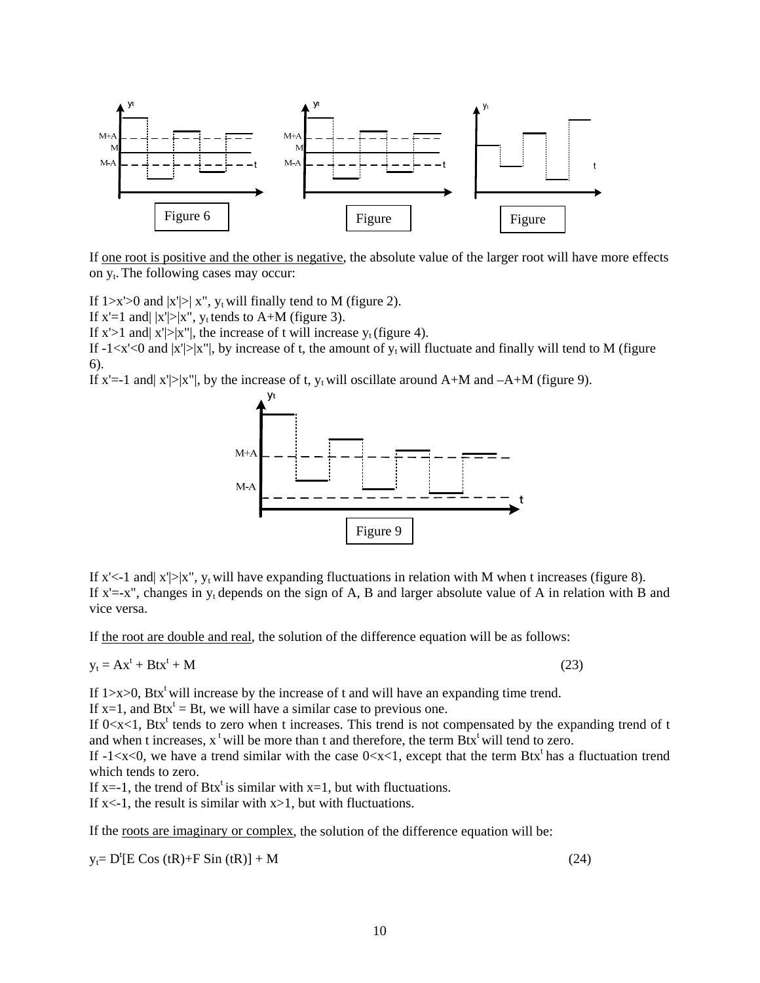

If one root is positive and the other is negative, the absolute value of the larger root will have more effects on y<sub>t</sub>. The following cases may occur:

If  $1 \times 1 > 0$  and  $|x'| > |x''|$ , y<sub>t</sub> will finally tend to M (figure 2).

If  $x'=1$  and  $|x'|>|x''|$ ,  $y_t$  tends to A+M (figure 3).

If  $x$ '>1 and  $x$ '|>| $x$ ''|, the increase of t will increase  $y_t$  (figure 4).

If  $-1 \lt x' \lt 0$  and  $|x'| > |x''|$ , by increase of t, the amount of  $y_t$  will fluctuate and finally will tend to M (figure 6).

If x'=-1 and  $|x'| > |x''|$ , by the increase of t,  $y_t$  will oscillate around A+M and  $-A+M$  (figure 9).



If x'<-1 and  $x'| > |x''|$ ,  $y_t$  will have expanding fluctuations in relation with M when t increases (figure 8). If  $x'=-x''$ , changes in  $y_t$  depends on the sign of A, B and larger absolute value of A in relation with B and vice versa.

If the root are double and real, the solution of the difference equation will be as follows:

$$
y_t = Ax^t + Btx^t + M \tag{23}
$$

If  $1 \times 0$ , Btx<sup>t</sup> will increase by the increase of t and will have an expanding time trend.

If  $x=1$ , and  $Btx<sup>t</sup> = Bt$ , we will have a similar case to previous one.

If  $0 < x < 1$ , Btx<sup>t</sup> tends to zero when t increases. This trend is not compensated by the expanding trend of t and when t increases,  $x^t$  will be more than t and therefore, the term  $Btx^t$  will tend to zero.

If  $-1 \lt \lt x \lt 0$ , we have a trend similar with the case  $0 \lt x \lt 1$ , except that the term Btx<sup>t</sup> has a fluctuation trend which tends to zero.

If x=-1, the trend of Btx<sup>t</sup> is similar with x=1, but with fluctuations.

If  $x \le -1$ , the result is similar with  $x > 1$ , but with fluctuations.

If the <u>roots are imaginary or complex</u>, the solution of the difference equation will be:

 $y_t = D^t [E \cos(tR) + F \sin(tR)] + M$  (24)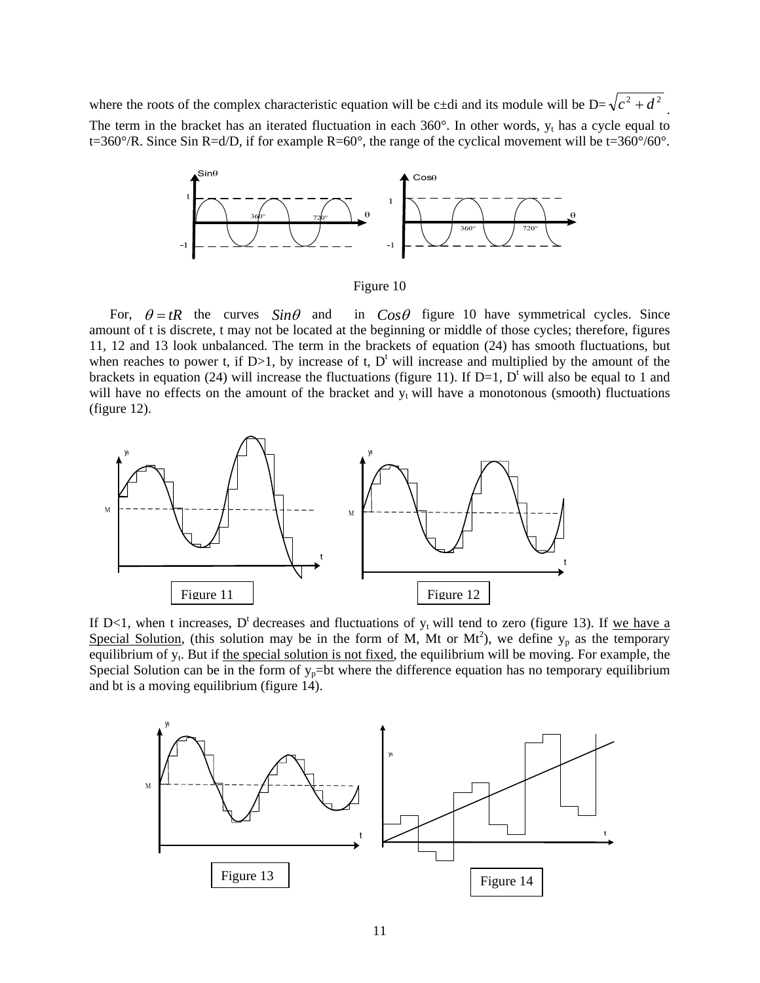where the roots of the complex characteristic equation will be c $\pm$ di and its module will be D= $\sqrt{c^2 + d^2}$ . The term in the bracket has an iterated fluctuation in each  $360^\circ$ . In other words,  $y_t$  has a cycle equal to t=360°/R. Since Sin R=d/D, if for example R=60°, the range of the cyclical movement will be t=360°/60°.



Figure 10

in  $C_{OS}\theta$  figure 10 have symmetrical cycles. Since amount of t is discrete, t may not be located at the beginning or middle of those cycles; therefore, figures 11, 12 and 13 look unbalanced. The term in the brackets of equation (24) has smooth fluctuations, but when reaches to power t, if  $D>1$ , by increase of t,  $D<sup>t</sup>$  will increase and multiplied by the amount of the brackets in equation (24) will increase the fluctuations (figure 11). If  $D=1$ ,  $D^{\dagger}$  will also be equal to 1 and will have no effects on the amount of the bracket and  $y_t$  will have a monotonous (smooth) fluctuations (figure 12). For,  $\theta = tR$  the curves  $Sin\theta$  and



If D<1, when t increases, D<sup>t</sup> decreases and fluctuations of  $y_t$  will tend to zero (figure 13). If we have a Special Solution, (this solution may be in the form of M, Mt or Mt<sup>2</sup>), we define  $y_p$  as the temporary equilibrium of  $y_t$ . But if the special solution is not fixed, the equilibrium will be moving. For example, the Special Solution can be in the form of  $y_p$ =bt where the difference equation has no temporary equilibrium and bt is a moving equilibrium (figure 14).

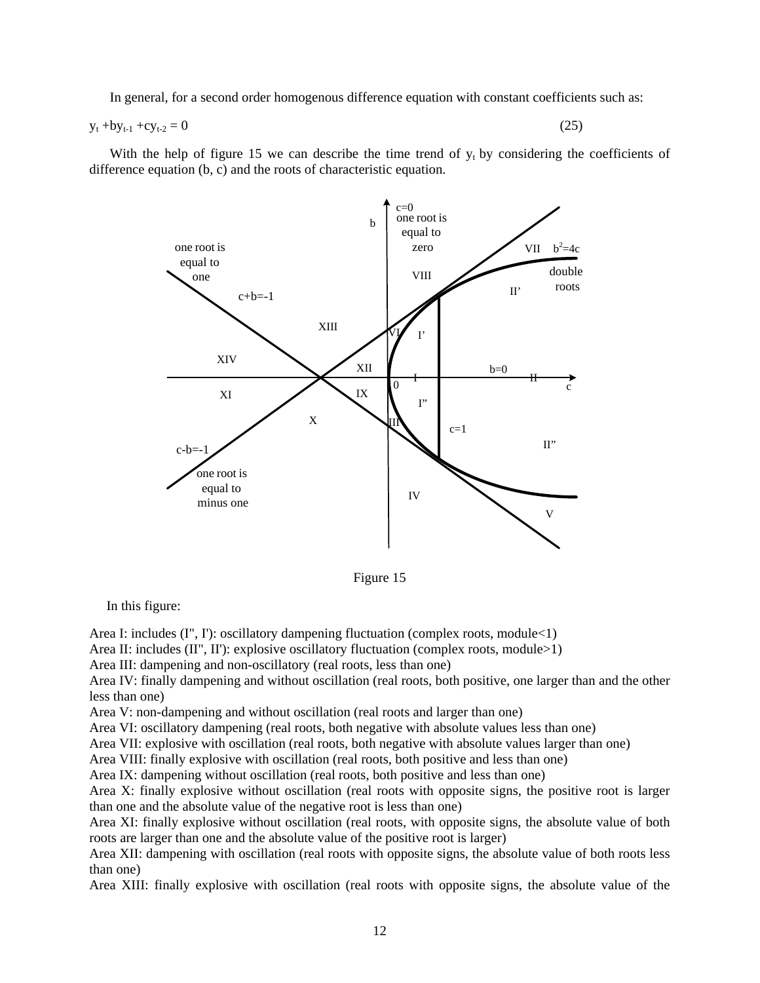In general, for a second order homogenous difference equation with constant coefficients such as:

$$
y_t + by_{t-1} + cy_{t-2} = 0 \tag{25}
$$

With the help of figure 15 we can describe the time trend of  $y_t$  by considering the coefficients of difference equation (b, c) and the roots of characteristic equation.



Figure 15

In this figure:

Area I: includes (I", I'): oscillatory dampening fluctuation (complex roots, module < 1)

Area II: includes (II", II'): explosive oscillatory fluctuation (complex roots, module>1)

Area III: dampening and non-oscillatory (real roots, less than one)

Area IV: finally dampening and without oscillation (real roots, both positive, one larger than and the other less than one)

Area V: non-dampening and without oscillation (real roots and larger than one)

Area VI: oscillatory dampening (real roots, both negative with absolute values less than one)

Area VII: explosive with oscillation (real roots, both negative with absolute values larger than one)

Area VIII: finally explosive with oscillation (real roots, both positive and less than one)

Area IX: dampening without oscillation (real roots, both positive and less than one)

Area X: finally explosive without oscillation (real roots with opposite signs, the positive root is larger than one and the absolute value of the negative root is less than one)

Area XI: finally explosive without oscillation (real roots, with opposite signs, the absolute value of both roots are larger than one and the absolute value of the positive root is larger)

Area XII: dampening with oscillation (real roots with opposite signs, the absolute value of both roots less than one)

Area XIII: finally explosive with oscillation (real roots with opposite signs, the absolute value of the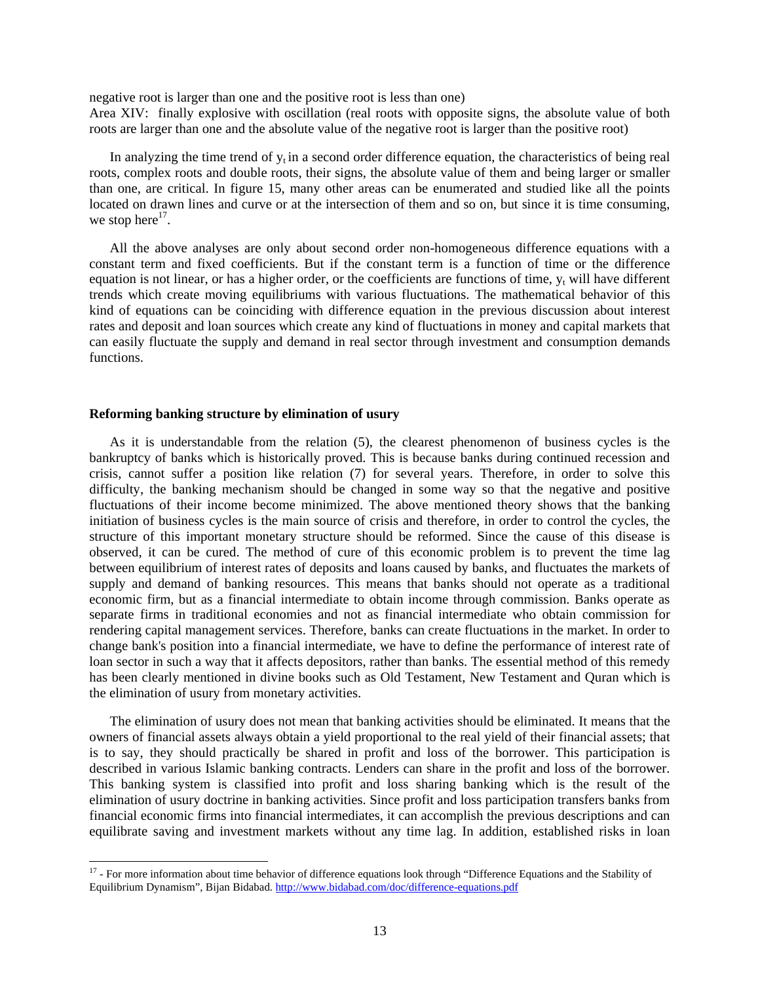negative root is larger than one and the positive root is less than one) Area XIV: finally explosive with oscillation (real roots with opposite signs, the absolute value of both roots are larger than one and the absolute value of the negative root is larger than the positive root)

In analyzing the time trend of  $y<sub>t</sub>$  in a second order difference equation, the characteristics of being real roots, complex roots and double roots, their signs, the absolute value of them and being larger or smaller than one, are critical. In figure 15, many other areas can be enumerated and studied like all the points located on drawn lines and curve or at the intersection of them and so on, but since it is time consuming, we stop here $^{17}$ .

 All the above analyses are only about second order non-homogeneous difference equations with a constant term and fixed coefficients. But if the constant term is a function of time or the difference equation is not linear, or has a higher order, or the coefficients are functions of time,  $y_t$  will have different trends which create moving equilibriums with various fluctuations. The mathematical behavior of this kind of equations can be coinciding with difference equation in the previous discussion about interest rates and deposit and loan sources which create any kind of fluctuations in money and capital markets that can easily fluctuate the supply and demand in real sector through investment and consumption demands functions.

### **Reforming banking structure by elimination of usury**

 As it is understandable from the relation (5), the clearest phenomenon of business cycles is the bankruptcy of banks which is historically proved. This is because banks during continued recession and crisis, cannot suffer a position like relation (7) for several years. Therefore, in order to solve this difficulty, the banking mechanism should be changed in some way so that the negative and positive fluctuations of their income become minimized. The above mentioned theory shows that the banking initiation of business cycles is the main source of crisis and therefore, in order to control the cycles, the structure of this important monetary structure should be reformed. Since the cause of this disease is observed, it can be cured. The method of cure of this economic problem is to prevent the time lag between equilibrium of interest rates of deposits and loans caused by banks, and fluctuates the markets of supply and demand of banking resources. This means that banks should not operate as a traditional economic firm, but as a financial intermediate to obtain income through commission. Banks operate as separate firms in traditional economies and not as financial intermediate who obtain commission for rendering capital management services. Therefore, banks can create fluctuations in the market. In order to change bank's position into a financial intermediate, we have to define the performance of interest rate of loan sector in such a way that it affects depositors, rather than banks. The essential method of this remedy has been clearly mentioned in divine books such as Old Testament, New Testament and Quran which is the elimination of usury from monetary activities.

 The elimination of usury does not mean that banking activities should be eliminated. It means that the owners of financial assets always obtain a yield proportional to the real yield of their financial assets; that is to say, they should practically be shared in profit and loss of the borrower. This participation is described in various Islamic banking contracts. Lenders can share in the profit and loss of the borrower. This banking system is classified into profit and loss sharing banking which is the result of the elimination of usury doctrine in banking activities. Since profit and loss participation transfers banks from financial economic firms into financial intermediates, it can accomplish the previous descriptions and can equilibrate saving and investment markets without any time lag. In addition, established risks in loan

<sup>&</sup>lt;sup>17</sup> - For more information about time behavior of difference equations look through "Difference Equations and the Stability of Equilibrium Dynamism", Bijan Bidabad. http://www.bidabad.com/doc/difference-equations.pdf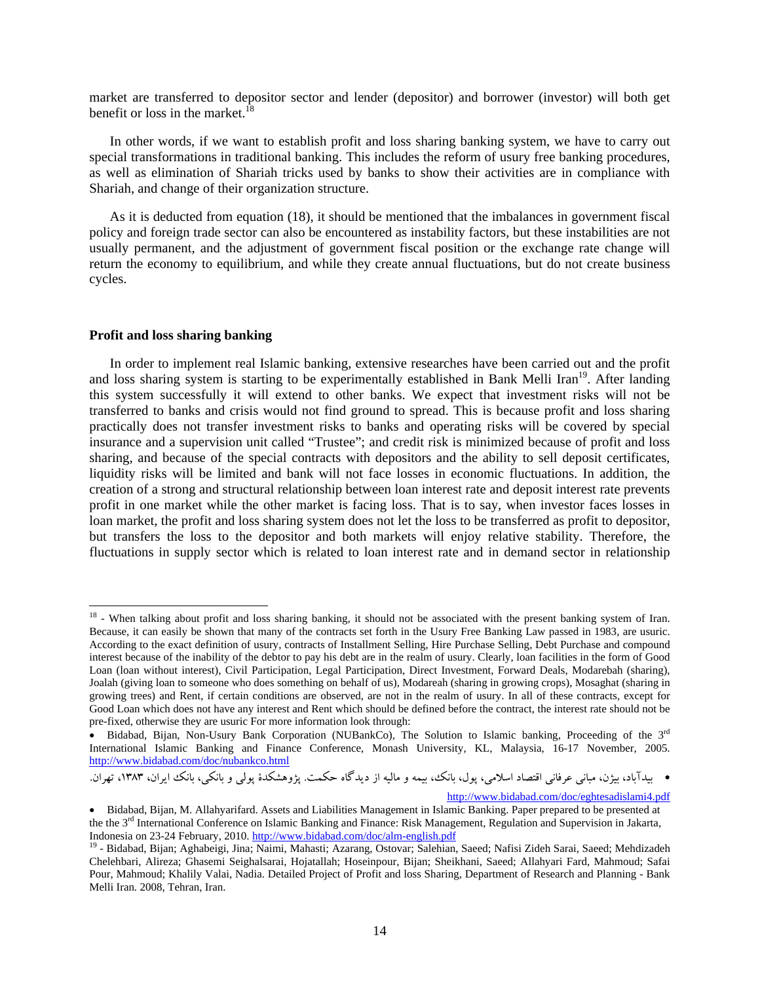market are transferred to depositor sector and lender (depositor) and borrower (investor) will both get benefit or loss in the market.<sup>18</sup>

 In other words, if we want to establish profit and loss sharing banking system, we have to carry out special transformations in traditional banking. This includes the reform of usury free banking procedures, as well as elimination of Shariah tricks used by banks to show their activities are in compliance with Shariah, and change of their organization structure.

 As it is deducted from equation (18), it should be mentioned that the imbalances in government fiscal policy and foreign trade sector can also be encountered as instability factors, but these instabilities are not usually permanent, and the adjustment of government fiscal position or the exchange rate change will return the economy to equilibrium, and while they create annual fluctuations, but do not create business cycles.

## **Profit and loss sharing banking**

 In order to implement real Islamic banking, extensive researches have been carried out and the profit and loss sharing system is starting to be experimentally established in Bank Melli Iran<sup>19</sup>. After landing this system successfully it will extend to other banks. We expect that investment risks will not be transferred to banks and crisis would not find ground to spread. This is because profit and loss sharing practically does not transfer investment risks to banks and operating risks will be covered by special insurance and a supervision unit called "Trustee"; and credit risk is minimized because of profit and loss sharing, and because of the special contracts with depositors and the ability to sell deposit certificates, liquidity risks will be limited and bank will not face losses in economic fluctuations. In addition, the creation of a strong and structural relationship between loan interest rate and deposit interest rate prevents profit in one market while the other market is facing loss. That is to say, when investor faces losses in loan market, the profit and loss sharing system does not let the loss to be transferred as profit to depositor, but transfers the loss to the depositor and both markets will enjoy relative stability. Therefore, the fluctuations in supply sector which is related to loan interest rate and in demand sector in relationship

http://www.bidabad.com/doc/eghtesadislami4.pdf

<sup>&</sup>lt;sup>18</sup> - When talking about profit and loss sharing banking, it should not be associated with the present banking system of Iran. Because, it can easily be shown that many of the contracts set forth in the Usury Free Banking Law passed in 1983, are usuric. According to the exact definition of usury, contracts of Installment Selling, Hire Purchase Selling, Debt Purchase and compound interest because of the inability of the debtor to pay his debt are in the realm of usury. Clearly, loan facilities in the form of Good Loan (loan without interest), Civil Participation, Legal Participation, Direct Investment, Forward Deals, Modarebah (sharing), Joalah (giving loan to someone who does something on behalf of us), Modareah (sharing in growing crops), Mosaghat (sharing in growing trees) and Rent, if certain conditions are observed, are not in the realm of usury. In all of these contracts, except for Good Loan which does not have any interest and Rent which should be defined before the contract, the interest rate should not be pre-fixed, otherwise they are usuric For more information look through:

<sup>•</sup> Bidabad, Bijan, Non-Usury Bank Corporation (NUBankCo), The Solution to Islamic banking, Proceeding of the 3<sup>rd</sup> International Islamic Banking and Finance Conference, Monash University, KL, Malaysia, 16-17 November, 2005. http://www.bidabad.com/doc/nubankco.html

بيدآباد، بيژن، مباني عرفاني اقتصاد اسلامي، پول، بانك، بيمه و ماليه از ديدگاه حكمت. پژوهشكدة پولي و بانكي، بانك ايران، ،1383 تهران.

<sup>•</sup> Bidabad, Bijan, M. Allahyarifard. Assets and Liabilities Management in Islamic Banking. Paper prepared to be presented at the the 3rd International Conference on Islamic Banking and Finance: Risk Management, Regulation and Supervision in Jakarta, Indonesia on 23-24 February, 2010. http://www.bidabad.com/doc/alm-english.pdf<br><sup>19</sup> - Bidabad, Bijan; Aghabeigi, Jina; Naimi, Mahasti; Azarang, Ostovar; Salehian, Saeed; Nafisi Zideh Sarai, Saeed; Mehdizadeh

Chelehbari, Alireza; Ghasemi Seighalsarai, Hojatallah; Hoseinpour, Bijan; Sheikhani, Saeed; Allahyari Fard, Mahmoud; Safai Pour, Mahmoud; Khalily Valai, Nadia. Detailed Project of Profit and loss Sharing, Department of Research and Planning - Bank Melli Iran. 2008, Tehran, Iran.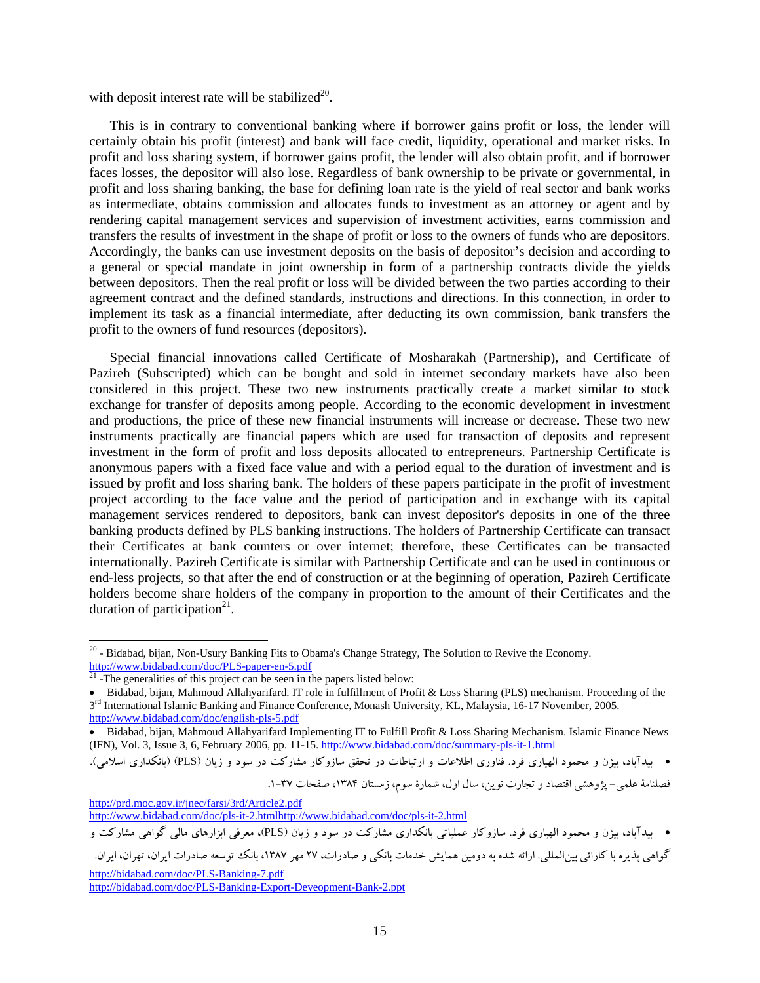with deposit interest rate will be stabilized<sup>20</sup>.

 This is in contrary to conventional banking where if borrower gains profit or loss, the lender will certainly obtain his profit (interest) and bank will face credit, liquidity, operational and market risks. In profit and loss sharing system, if borrower gains profit, the lender will also obtain profit, and if borrower faces losses, the depositor will also lose. Regardless of bank ownership to be private or governmental, in profit and loss sharing banking, the base for defining loan rate is the yield of real sector and bank works as intermediate, obtains commission and allocates funds to investment as an attorney or agent and by rendering capital management services and supervision of investment activities, earns commission and transfers the results of investment in the shape of profit or loss to the owners of funds who are depositors. Accordingly, the banks can use investment deposits on the basis of depositor's decision and according to a general or special mandate in joint ownership in form of a partnership contracts divide the yields between depositors. Then the real profit or loss will be divided between the two parties according to their agreement contract and the defined standards, instructions and directions. In this connection, in order to implement its task as a financial intermediate, after deducting its own commission, bank transfers the profit to the owners of fund resources (depositors).

 Special financial innovations called Certificate of Mosharakah (Partnership), and Certificate of Pazireh (Subscripted) which can be bought and sold in internet secondary markets have also been considered in this project. These two new instruments practically create a market similar to stock exchange for transfer of deposits among people. According to the economic development in investment and productions, the price of these new financial instruments will increase or decrease. These two new instruments practically are financial papers which are used for transaction of deposits and represent investment in the form of profit and loss deposits allocated to entrepreneurs. Partnership Certificate is anonymous papers with a fixed face value and with a period equal to the duration of investment and is issued by profit and loss sharing bank. The holders of these papers participate in the profit of investment project according to the face value and the period of participation and in exchange with its capital management services rendered to depositors, bank can invest depositor's deposits in one of the three banking products defined by PLS banking instructions. The holders of Partnership Certificate can transact their Certificates at bank counters or over internet; therefore, these Certificates can be transacted internationally. Pazireh Certificate is similar with Partnership Certificate and can be used in continuous or end-less projects, so that after the end of construction or at the beginning of operation, Pazireh Certificate holders become share holders of the company in proportion to the amount of their Certificates and the duration of participation $21$ .

فصلنامهٔ علمی- پژوهشی اقتصاد و تجارت نوین، سال اول، شمارهٔ سوم، زمستان ۱۳۸۴، صفحات ۳۷-۱.

http://prd.moc.gov.ir/jnec/farsi/3rd/Article2.pdf

http://www.bidabad.com/doc/pls-it-2.htmlhttp://www.bidabad.com/doc/pls-it-2.html

بيدآباد، بيژن و محمود الهياري فرد. سازوكار عملياتي بانكداري مشاركت در سود و زيان (PLS(، معرفي ابزارهاي مالي گواهي مشاركت و

http://bidabad.com/doc/PLS-Banking-7.pdf http://bidabad.com/doc/PLS-Banking-Export-Deveopment-Bank-2.ppt

 $20$  - Bidabad, bijan, Non-Usury Banking Fits to Obama's Change Strategy, The Solution to Revive the Economy. http://www.bidabad.com/doc/PLS-paper-en-5.pdf<br><sup>21</sup> -The generalities of this project can be seen in the papers listed below:

Bidabad, bijan, Mahmoud Allahyarifard. IT role in fulfillment of Profit & Loss Sharing (PLS) mechanism. Proceeding of the 3<sup>rd</sup> International Islamic Banking and Finance Conference, Monash University, KL, Malaysia, 16-17 November, 2005. http://www.bidabad.com/doc/english-pls-5.pdf

Bidabad, bijan, Mahmoud Allahyarifard Implementing IT to Fulfill Profit & Loss Sharing Mechanism. Islamic Finance News (IFN), Vol. 3, Issue 3, 6, February 2006, pp. 11-15. http://www.bidabad.com/doc/summary-pls-it-1.html

بيدآباد، بيژن و محمود الهياري فرد. فناوري اطلاعات و ارتباطات در تحقق سازوكار مشاركت در سود و زيان (PLS) (بانكداري اسلامي).

گواهي پذيره با كارائي بينالمللي. ارائه شده به دومين همايش خدمات بانكي و صادرات، 27 مهر ،1387 بانك توسعه صادرات ايران، تهران، ايران.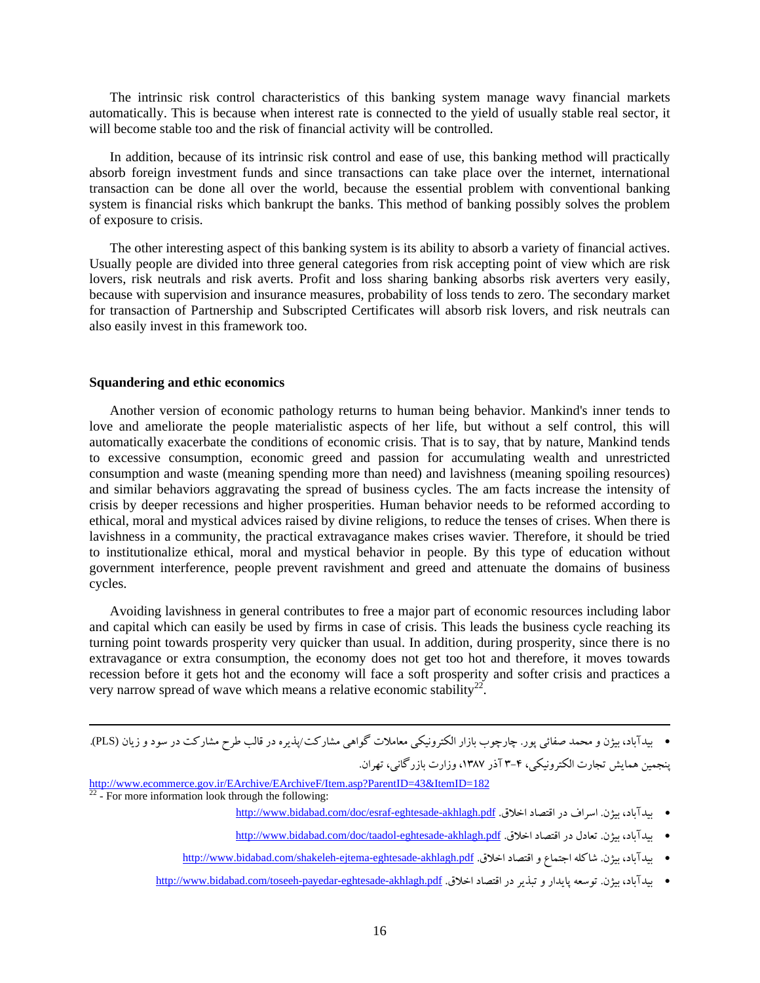The intrinsic risk control characteristics of this banking system manage wavy financial markets automatically. This is because when interest rate is connected to the yield of usually stable real sector, it will become stable too and the risk of financial activity will be controlled.

 In addition, because of its intrinsic risk control and ease of use, this banking method will practically absorb foreign investment funds and since transactions can take place over the internet, international transaction can be done all over the world, because the essential problem with conventional banking system is financial risks which bankrupt the banks. This method of banking possibly solves the problem of exposure to crisis.

 The other interesting aspect of this banking system is its ability to absorb a variety of financial actives. Usually people are divided into three general categories from risk accepting point of view which are risk lovers, risk neutrals and risk averts. Profit and loss sharing banking absorbs risk averters very easily, because with supervision and insurance measures, probability of loss tends to zero. The secondary market for transaction of Partnership and Subscripted Certificates will absorb risk lovers, and risk neutrals can also easily invest in this framework too.

### **Squandering and ethic economics**

 Another version of economic pathology returns to human being behavior. Mankind's inner tends to love and ameliorate the people materialistic aspects of her life, but without a self control, this will automatically exacerbate the conditions of economic crisis. That is to say, that by nature, Mankind tends to excessive consumption, economic greed and passion for accumulating wealth and unrestricted consumption and waste (meaning spending more than need) and lavishness (meaning spoiling resources) and similar behaviors aggravating the spread of business cycles. The am facts increase the intensity of crisis by deeper recessions and higher prosperities. Human behavior needs to be reformed according to ethical, moral and mystical advices raised by divine religions, to reduce the tenses of crises. When there is lavishness in a community, the practical extravagance makes crises wavier. Therefore, it should be tried to institutionalize ethical, moral and mystical behavior in people. By this type of education without government interference, people prevent ravishment and greed and attenuate the domains of business cycles.

 Avoiding lavishness in general contributes to free a major part of economic resources including labor and capital which can easily be used by firms in case of crisis. This leads the business cycle reaching its turning point towards prosperity very quicker than usual. In addition, during prosperity, since there is no extravagance or extra consumption, the economy does not get too hot and therefore, it moves towards recession before it gets hot and the economy will face a soft prosperity and softer crisis and practices a very narrow spread of wave which means a relative economic stability<sup>22</sup>.

 بيدآباد، بيژن و محمد صفائي پور. چارچوب بازار الكترونيكي معاملات گواهي مشاركت/پذيره در قالب طرح مشاركت در سود و زيان (PLS(. پنجمين همايش تجارت الكترونيكي، 3-4 آذر ،1387 وزارت بازرگاني، تهران.

<u> Andrewski politika (za obrazu pod predsjednika u predsjednika u predsjednika u predsjednika (za obrazu pod p</u>

http://www.ecommerce.gov.ir/EArchive/EArchiveF/Item.asp?ParentID=43&ItemID=182<sup>22</sup> - For more information look through the following:

- http://www.bidabad.com/doc/esraf-eghtesade-akhlagh.pdf .اخلاق اقتصاد در اسراف .بيژن ،بيدآباد
- http://www.bidabad.com/doc/taadol-eghtesade-akhlagh.pdf .اخلاق اقتصاد در تعادل .بيژن ،بيدآباد
- http://www.bidabad.com/shakeleh-ejtema-eghtesade-akhlagh.pdf .اخلاق اقتصاد و اجتماع شاكله .بيژن ،بيدآباد
- http://www.bidabad.com/toseeh-payedar-eghtesade-akhlagh.pdf .اخلاق اقتصاد در تبذير و پايدار توسعه .بيژن ،بيدآباد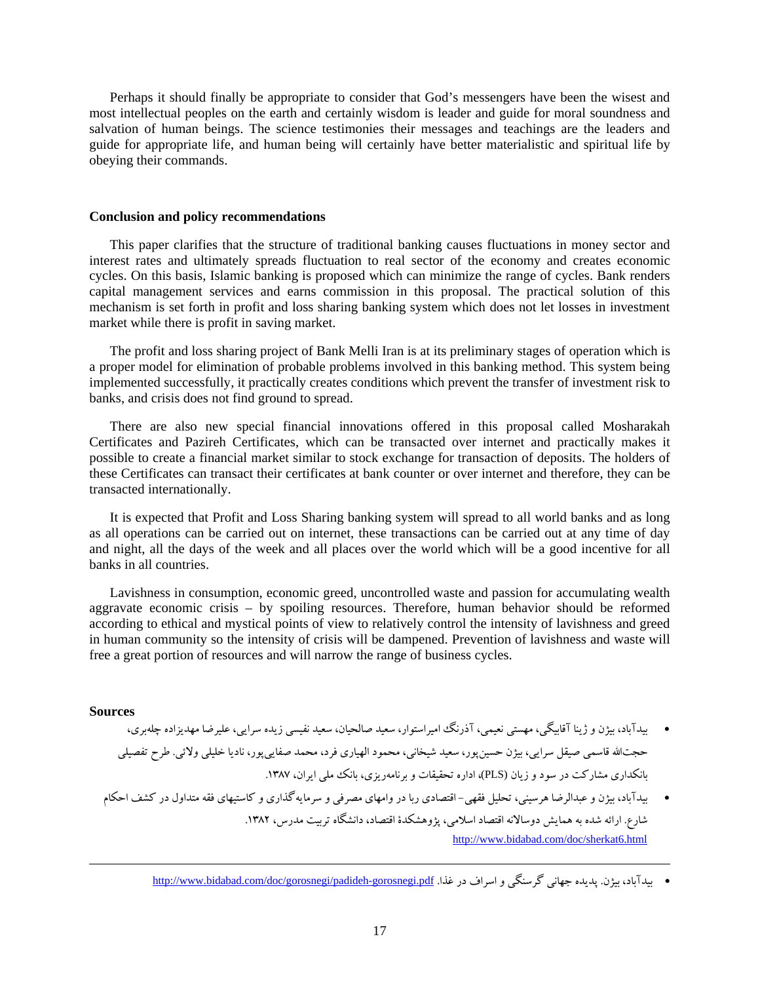Perhaps it should finally be appropriate to consider that God's messengers have been the wisest and most intellectual peoples on the earth and certainly wisdom is leader and guide for moral soundness and salvation of human beings. The science testimonies their messages and teachings are the leaders and guide for appropriate life, and human being will certainly have better materialistic and spiritual life by obeying their commands.

#### **Conclusion and policy recommendations**

This paper clarifies that the structure of traditional banking causes fluctuations in money sector and interest rates and ultimately spreads fluctuation to real sector of the economy and creates economic cycles. On this basis, Islamic banking is proposed which can minimize the range of cycles. Bank renders capital management services and earns commission in this proposal. The practical solution of this mechanism is set forth in profit and loss sharing banking system which does not let losses in investment market while there is profit in saving market.

 The profit and loss sharing project of Bank Melli Iran is at its preliminary stages of operation which is a proper model for elimination of probable problems involved in this banking method. This system being implemented successfully, it practically creates conditions which prevent the transfer of investment risk to banks, and crisis does not find ground to spread.

 There are also new special financial innovations offered in this proposal called Mosharakah Certificates and Pazireh Certificates, which can be transacted over internet and practically makes it possible to create a financial market similar to stock exchange for transaction of deposits. The holders of these Certificates can transact their certificates at bank counter or over internet and therefore, they can be transacted internationally.

 It is expected that Profit and Loss Sharing banking system will spread to all world banks and as long as all operations can be carried out on internet, these transactions can be carried out at any time of day and night, all the days of the week and all places over the world which will be a good incentive for all banks in all countries.

 Lavishness in consumption, economic greed, uncontrolled waste and passion for accumulating wealth aggravate economic crisis – by spoiling resources. Therefore, human behavior should be reformed according to ethical and mystical points of view to relatively control the intensity of lavishness and greed in human community so the intensity of crisis will be dampened. Prevention of lavishness and waste will free a great portion of resources and will narrow the range of business cycles.

#### **Sources**

- بيدآباد، بيژن و ژينا آقابيگي، مهستي نعيمي، آذرنگ اميراستوار، سعيد صالحيان، سعيد نفيسي زيده سرايي، عليرضا مهديزاده چلهبري، حجتاالله قاسمي صيقل سرايي، بيژن حسينپور، سعيد شيخاني، محمود الهياري فرد، محمد صفاييپور، ناديا خليلي ولائي. طرح تفصيلي بانكداري مشاركت در سود و زيان (PLS)، اداره تحقيقات و برنامهريزي، بانك ملي ايران، ١٣٨٧.
- بيدآباد، بيژن و عبدالرضا هرسيني، تحليل فقهي- اقتصادي ربا در وامهاي مصرفي و سرمايهگذاري و كاستيهاي فقه متداول در كشف احكام شارع. ارائه شده به همايش دوسالانه اقتصاد اسلامي، پژوهشكدة اقتصاد، دانشگاه تربيت مدرس، .1382 http://www.bidabad.com/doc/sherkat6.html

<u> Andrewski politika (za obrazu pod predsjednika u predsjednika u predsjednika u predsjednika (za obrazu pod p</u>

<sup>•</sup> سدآباد، بيژن بيديده جهاني گرسنگي و اسراف در غذا. http://www.bidabad.com/doc/gorosnegi/padideh-gorosnegi.pdf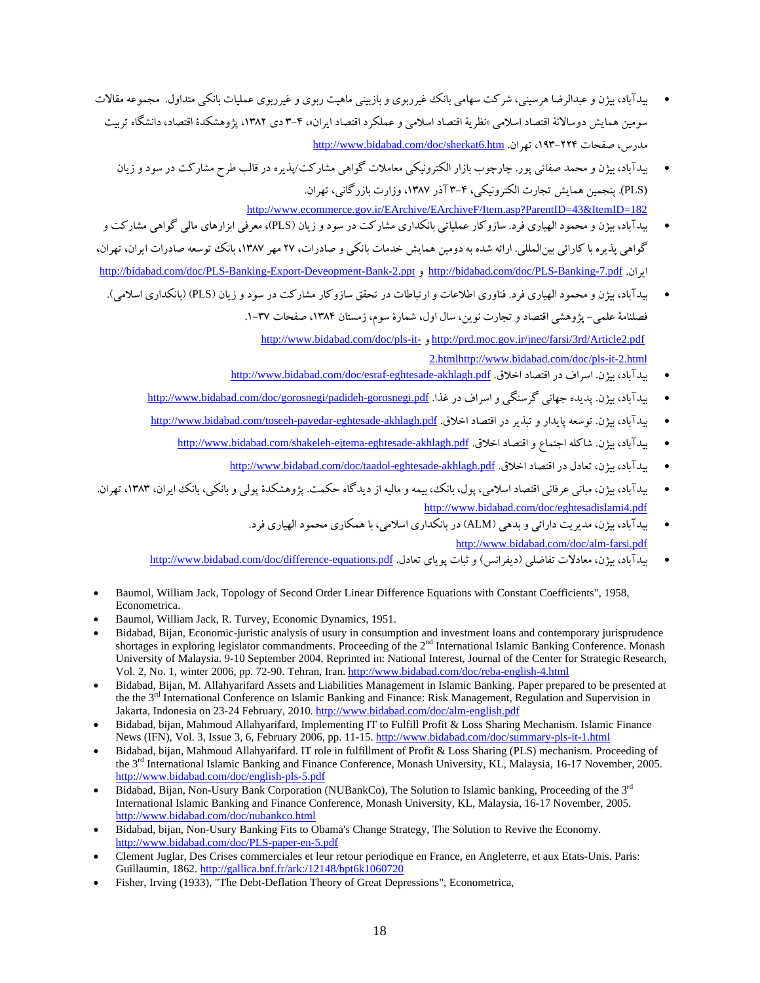- بيدآباد، بيژن و عبدالرضا هرسيني، شركت سهامي بانك غيرربوي و بازبيني ماهيت ربوي و غيرربوي عمليات بانكي متداول. مجموعه مقالات سومين همايش دوسالانة اقتصاد اسلامي «نظرية اقتصاد اسلامي و عملكرد اقتصاد ايران»، 3-4 دي ،1382 پژوهشكدة اقتصاد، دانشگاه تربيت http://www.bidabad.com/doc/sherkat6.htm .تهران ،193-224 صفحات ،مدرس
	- بيدآباد، بيژن و محمد صفائي پور. چارچوب بازار الكترونيكي معاملات گواهي مشاركت/پذيره در قالب طرح مشاركت در سود و زيان (PLS(. پنجمين همايش تجارت الكترونيكي، 3-4 آذر ،1387 وزارت بازرگاني، تهران. http://www.ecommerce.gov.ir/EArchive/EArchiveF/Item.asp?ParentID=43&ItemID=182
- بيدآباد، بيژن و محمود الهياري فرد. سازوكار عملياتي بانكداري مشاركت در سود و زيان (PLS(، معرفي ابزارهاي مالي گواهي مشاركت و گواهي پذيره با كارائي بينالمللي. ارائه شده به دومين همايش خدمات بانكي و صادرات، 27 مهر ،1387 بانك توسعه صادرات ايران، تهران، http://bidabad.com/doc/PLS-Banking-Export-Deveopment-Bank-2.ppt و http://bidabad.com/doc/PLS-Banking-7.pdf .ايران
	- بيدآباد، بيژن و محمود الهياري فرد. فناوري اطلاعات و ارتباطات در تحقق سازوكار مشاركت در سود و زيان (PLS) (بانكداري اسلامي). فصلنامة علمي – پژوهشي اقتصاد و تجارت نوين، سال اول، شمارة سوم، زمستان ۱۳۸۴، صفحات ۳۷-۱. http://www.bidabad.com/doc/pls-it- و http://prd.moc.gov.ir/jnec/farsi/3rd/Article2.pdf 2.htmlhttp://www.bidabad.com/doc/pls-it-2.html
		- http://www.bidabad.com/doc/esraf-eghtesade-akhlagh.pdf اخلاق . http://www.bidabad.com/doc/esraf-eghtesade-akhlagh.pdf
		- بيدآباد، بيژن بيديده جهاني گرسنگي و اسراف در غذا http://www.bidabad.com/doc/gorosnegi/padideh-gorosnegi.pdf
		- بيدآباد، بيژن توسعه پايدار و تبذير در اقتصاد اخلاق .http://www.bidabad.com/toseeh-payedar-eghtesade-akhlagh.pdf
			- بيدآباد، بيژن . شاكله اجتماع و اقتصاد اخلاق . http://www.bidabad.com/shakeleh-ejtema-eghtesade-akhlagh.pdf
				- ملدآباد، سژن، تعادل در اقتصاد اخلاق <u>. http://www.bidabad.com/doc/taadol-eghtesade-akhlagh.pdf</u>
- بيدآباد، بيژن، مباني عرفاني اقتصاد اسلامي، پول، بانك، بيمه و ماليه از ديدگاه حكمت. پژوهشكدة پولي و بانكي، بانك ايران، ،1383 تهران. http://www.bidabad.com/doc/eghtesadislami4.pdf
	- بيدآباد، بيژن، مديريت دارائي و بدهي (ALM (در بانكداري اسلامي، با همكاري محمود الهياري فرد. http://www.bidabad.com/doc/alm-farsi.pdf
	- بيدآباد، بيژن، معادلات تفاضلي (ديفرانس) و ثبات پوياي تعادل. http://www.bidabad.com/doc/difference-equations.pdf
- Baumol, William Jack, Topology of Second Order Linear Difference Equations with Constant Coefficients", 1958, Econometrica.
- Baumol, William Jack, R. Turvey, Economic Dynamics, 1951.
- Bidabad, Bijan, Economic-juristic analysis of usury in consumption and investment loans and contemporary jurisprudence shortages in exploring legislator commandments. Proceeding of the 2<sup>nd</sup> International Islamic Banking Conference. Monash University of Malaysia. 9-10 September 2004. Reprinted in: National Interest, Journal of the Center for Strategic Research, Vol. 2, No. 1, winter 2006, pp. 72-90. Tehran, Iran. http://www.bidabad.com/doc/reba-english-4.html
- Bidabad, Bijan, M. Allahyarifard Assets and Liabilities Management in Islamic Banking. Paper prepared to be presented at the the 3<sup>rd</sup> International Conference on Islamic Banking and Finance: Risk Management, Regulation and Supervision in Jakarta, Indonesia on 23-24 February, 2010. http://www.bidabad.com/doc/alm-english.pdf
- Bidabad, bijan, Mahmoud Allahyarifard, Implementing IT to Fulfill Profit & Loss Sharing Mechanism. Islamic Finance News (IFN), Vol. 3, Issue 3, 6, February 2006, pp. 11-15. http://www.bidabad.com/doc/summary-pls-it-1.html
- Bidabad, bijan, Mahmoud Allahyarifard. IT role in fulfillment of Profit & Loss Sharing (PLS) mechanism. Proceeding of the 3<sup>rd</sup> International Islamic Banking and Finance Conference, Monash University, KL, Malaysia, 16-17 November, 2005. http://www.bidabad.com/doc/english-pls-5.pdf
- $\bullet$  Bidabad, Bijan, Non-Usury Bank Corporation (NUBankCo), The Solution to Islamic banking, Proceeding of the 3<sup>rd</sup> International Islamic Banking and Finance Conference, Monash University, KL, Malaysia, 16-17 November, 2005. http://www.bidabad.com/doc/nubankco.html
- Bidabad, bijan, Non-Usury Banking Fits to Obama's Change Strategy, The Solution to Revive the Economy. http://www.bidabad.com/doc/PLS-paper-en-5.pdf
- Clement Juglar, Des Crises commerciales et leur retour periodique en France, en Angleterre, et aux Etats-Unis. Paris: Guillaumin, 1862. http://gallica.bnf.fr/ark:/12148/bpt6k1060720
- Fisher, Irving (1933), "The Debt-Deflation Theory of Great Depressions", Econometrica,